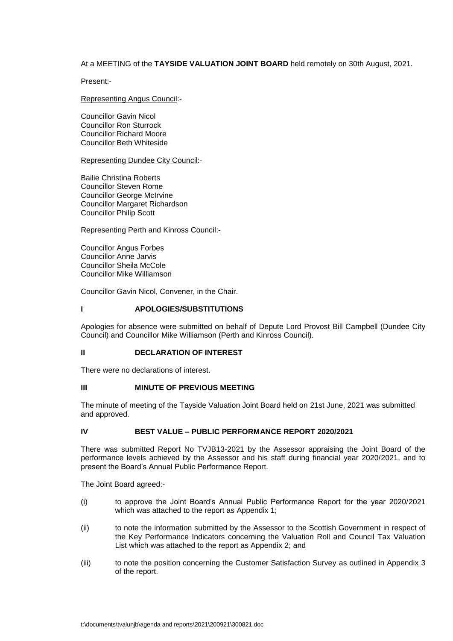# At a MEETING of the **TAYSIDE VALUATION JOINT BOARD** held remotely on 30th August, 2021.

Present:-

# Representing Angus Council:-

Councillor Gavin Nicol Councillor Ron Sturrock Councillor Richard Moore Councillor Beth Whiteside

### Representing Dundee City Council:-

Bailie Christina Roberts Councillor Steven Rome Councillor George McIrvine Councillor Margaret Richardson Councillor Philip Scott

### Representing Perth and Kinross Council:-

Councillor Angus Forbes Councillor Anne Jarvis Councillor Sheila McCole Councillor Mike Williamson

Councillor Gavin Nicol, Convener, in the Chair.

# **I APOLOGIES/SUBSTITUTIONS**

Apologies for absence were submitted on behalf of Depute Lord Provost Bill Campbell (Dundee City Council) and Councillor Mike Williamson (Perth and Kinross Council).

### **II DECLARATION OF INTEREST**

There were no declarations of interest.

# **III MINUTE OF PREVIOUS MEETING**

The minute of meeting of the Tayside Valuation Joint Board held on 21st June, 2021 was submitted and approved.

### **IV BEST VALUE – PUBLIC PERFORMANCE REPORT 2020/2021**

There was submitted Report No TVJB13-2021 by the Assessor appraising the Joint Board of the performance levels achieved by the Assessor and his staff during financial year 2020/2021, and to present the Board's Annual Public Performance Report.

The Joint Board agreed:-

- (i) to approve the Joint Board's Annual Public Performance Report for the year 2020/2021 which was attached to the report as Appendix 1;
- (ii) to note the information submitted by the Assessor to the Scottish Government in respect of the Key Performance Indicators concerning the Valuation Roll and Council Tax Valuation List which was attached to the report as Appendix 2; and
- (iii) to note the position concerning the Customer Satisfaction Survey as outlined in Appendix 3 of the report.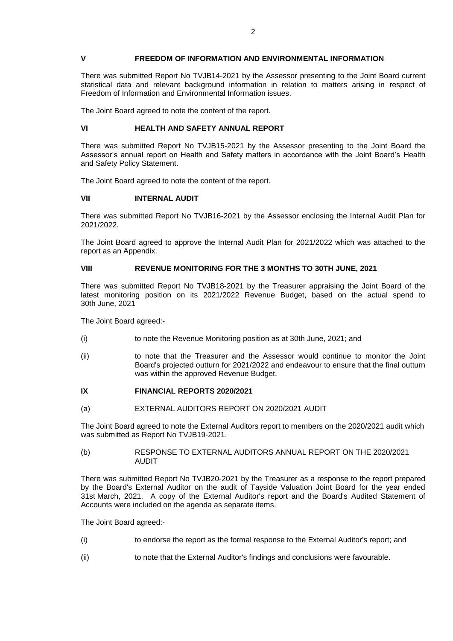### **V FREEDOM OF INFORMATION AND ENVIRONMENTAL INFORMATION**

There was submitted Report No TVJB14-2021 by the Assessor presenting to the Joint Board current statistical data and relevant background information in relation to matters arising in respect of Freedom of Information and Environmental Information issues.

The Joint Board agreed to note the content of the report.

### **VI HEALTH AND SAFETY ANNUAL REPORT**

There was submitted Report No TVJB15-2021 by the Assessor presenting to the Joint Board the Assessor's annual report on Health and Safety matters in accordance with the Joint Board's Health and Safety Policy Statement.

The Joint Board agreed to note the content of the report.

### **VII INTERNAL AUDIT**

There was submitted Report No TVJB16-2021 by the Assessor enclosing the Internal Audit Plan for 2021/2022.

The Joint Board agreed to approve the Internal Audit Plan for 2021/2022 which was attached to the report as an Appendix.

# **VIII REVENUE MONITORING FOR THE 3 MONTHS TO 30TH JUNE, 2021**

There was submitted Report No TVJB18-2021 by the Treasurer appraising the Joint Board of the latest monitoring position on its 2021/2022 Revenue Budget, based on the actual spend to 30th June, 2021

The Joint Board agreed:-

- (i) to note the Revenue Monitoring position as at 30th June, 2021; and
- (ii) to note that the Treasurer and the Assessor would continue to monitor the Joint Board's projected outturn for 2021/2022 and endeavour to ensure that the final outturn was within the approved Revenue Budget.

### **IX FINANCIAL REPORTS 2020/2021**

(a) EXTERNAL AUDITORS REPORT ON 2020/2021 AUDIT

The Joint Board agreed to note the External Auditors report to members on the 2020/2021 audit which was submitted as Report No TVJB19-2021.

#### (b) RESPONSE TO EXTERNAL AUDITORS ANNUAL REPORT ON THE 2020/2021 AUDIT

There was submitted Report No TVJB20-2021 by the Treasurer as a response to the report prepared by the Board's External Auditor on the audit of Tayside Valuation Joint Board for the year ended 31st March, 2021. A copy of the External Auditor's report and the Board's Audited Statement of Accounts were included on the agenda as separate items.

The Joint Board agreed:-

- (i) to endorse the report as the formal response to the External Auditor's report; and
- (ii) to note that the External Auditor's findings and conclusions were favourable.